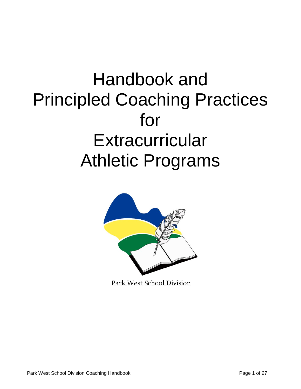# Handbook and Principled Coaching Practices for **Extracurricular** Athletic Programs



Park West School Division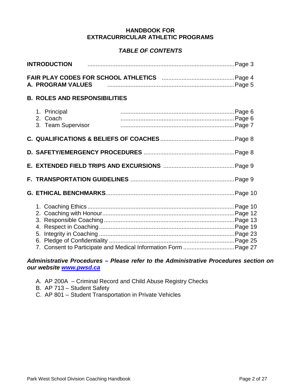#### **HANDBOOK FOR EXTRACURRICULAR ATHLETIC PROGRAMS**

# *TABLE OF CONTENTS*

| <b>INTRODUCTION</b>                                            |  |
|----------------------------------------------------------------|--|
| A. PROGRAM VALUES                                              |  |
| <b>B. ROLES AND RESPONSIBILITIES</b>                           |  |
| 1. Principal<br>2. Coach<br>3. Team Supervisor                 |  |
|                                                                |  |
|                                                                |  |
|                                                                |  |
|                                                                |  |
|                                                                |  |
| 7. Consent to Participate and Medical Information Form Page 27 |  |

## *Administrative Procedures – Please refer to the Administrative Procedures section on our website [www.pwsd.ca](http://www.pwsd.ca/)*

- A. AP 200A Criminal Record and Child Abuse Registry Checks
- B. AP 713 Student Safety
- C. AP 801 Student Transportation in Private Vehicles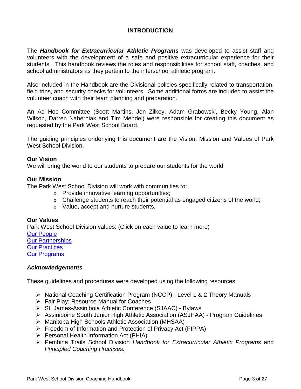# **INTRODUCTION**

The *Handbook for Extracurricular Athletic Programs* was developed to assist staff and volunteers with the development of a safe and positive extracurricular experience for their students. This handbook reviews the roles and responsibilities for school staff, coaches, and school administrators as they pertain to the interschool athletic program.

Also included in the Handbook are the Divisional policies specifically related to transportation, field trips, and security checks for volunteers. Some additional forms are included to assist the volunteer coach with their team planning and preparation.

An Ad Hoc Committee (Scott Martins, Jon Zilkey, Adam Grabowski, Becky Young, Alan Wilson, Darren Naherniak and Tim Mendel) were responsible for creating this document as requested by the Park West School Board.

The guiding principles underlying this document are the Vision, Mission and Values of Park West School Division.

#### **Our Vision**

We will bring the world to our students to prepare our students for the world

#### **Our Mission**

The Park West School Division will work with communities to:

- o Provide innovative learning opportunities;
- o Challenge students to reach their potential as engaged citizens of the world;
- o Value, accept and nurture students.

#### **Our Values**

Park West School Division values: (Click on each value to learn more) [Our People](http://www.pwsd.ca/About/vision.html#dialogpeople) [Our Partnerships](http://www.pwsd.ca/About/vision.html#dialogpartnerships) [Our Practices](http://www.pwsd.ca/About/vision.html#dialogpractices) [Our Programs](http://www.pwsd.ca/About/vision.html#dialogprograms)

#### *Acknowledgements*

These guidelines and procedures were developed using the following resources:

- ▶ National Coaching Certification Program (NCCP) Level 1 & 2 Theory Manuals
- **Fair Play; Resource Manual for Coaches**
- St. James-Assiniboia Athletic Conference (SJAAC) Bylaws
- Assiniboine South Junior High Athletic Association (ASJHAA) Program Guidelines
- Manitoba High Schools Athletic Association (MHSAA)
- Freedom of Information and Protection of Privacy Act (FIPPA)
- $\triangleright$  Personal Health Information Act (PHIA)
- Pembina Trails School Division *Handbook for Extracurricular Athletic Programs* and *Principled Coaching Practises.*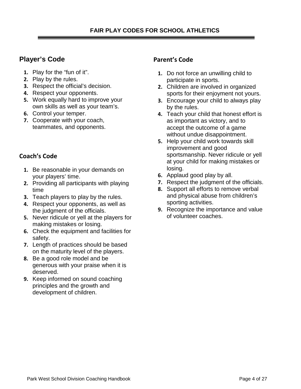# **Player's Code**

- **1.** Play for the "fun of it".
- **2.** Play by the rules.
- **3.** Respect the official's decision.
- **4.** Respect your opponents.
- **5.** Work equally hard to improve your own skills as well as your team's.
- **6.** Control your temper.
- **7.** Cooperate with your coach, teammates, and opponents.

# **Coach's Code**

- **1.** Be reasonable in your demands on your players' time.
- **2.** Providing all participants with playing time
- **3.** Teach players to play by the rules.
- **4.** Respect your opponents, as well as the judgment of the officials.
- **5.** Never ridicule or yell at the players for making mistakes or losing.
- **6.** Check the equipment and facilities for safety.
- **7.** Length of practices should be based on the maturity level of the players.
- **8.** Be a good role model and be generous with your praise when it is deserved.
- **9.** Keep informed on sound coaching principles and the growth and development of children.

# **Parent's Code**

- **1.** Do not force an unwilling child to participate in sports.
- **2.** Children are involved in organized sports for their enjoyment not yours.
- **3.** Encourage your child to always play by the rules.
- **4.** Teach your child that honest effort is as important as victory, and to accept the outcome of a game without undue disappointment.
- **5.** Help your child work towards skill improvement and good sportsmanship. Never ridicule or yell at your child for making mistakes or losing.
- **6.** Applaud good play by all.
- **7.** Respect the judgment of the officials.
- **8.** Support all efforts to remove verbal and physical abuse from children's sporting activities.
- **9.** Recognize the importance and value of volunteer coaches.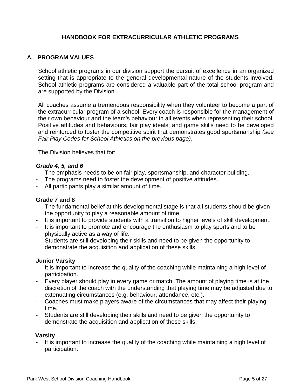## **HANDBOOK FOR EXTRACURRICULAR ATHLETIC PROGRAMS**

### **A. PROGRAM VALUES**

School athletic programs in our division support the pursuit of excellence in an organized setting that is appropriate to the general developmental nature of the students involved. School athletic programs are considered a valuable part of the total school program and are supported by the Division.

All coaches assume a tremendous responsibility when they volunteer to become a part of the extracurricular program of a school. Every coach is responsible for the management of their own behaviour and the team's behaviour in all events when representing their school. Positive attitudes and behaviours, fair play ideals, and game skills need to be developed and reinforced to foster the competitive spirit that demonstrates good sportsmanship *(see Fair Play Codes for School Athletics on the previous page).*

The Division believes that for:

#### *Grade 4, 5, and 6*

- The emphasis needs to be on fair play, sportsmanship, and character building.
- The programs need to foster the development of positive attitudes.
- All participants play a similar amount of time.

#### **Grade 7 and 8**

- The fundamental belief at this developmental stage is that all students should be given the opportunity to play a reasonable amount of time.
- It is important to provide students with a transition to higher levels of skill development.
- It is important to promote and encourage the enthusiasm to play sports and to be physically active as a way of life.
- Students are still developing their skills and need to be given the opportunity to demonstrate the acquisition and application of these skills.

#### **Junior Varsity**

- It is important to increase the quality of the coaching while maintaining a high level of participation.
- Every player should play in every game or match. The amount of playing time is at the discretion of the coach with the understanding that playing time may be adjusted due to extenuating circumstances (e.g. behaviour, attendance, etc.).
- Coaches must make players aware of the circumstances that may affect their playing time.
- Students are still developing their skills and need to be given the opportunity to demonstrate the acquisition and application of these skills.

#### **Varsity**

It is important to increase the quality of the coaching while maintaining a high level of participation.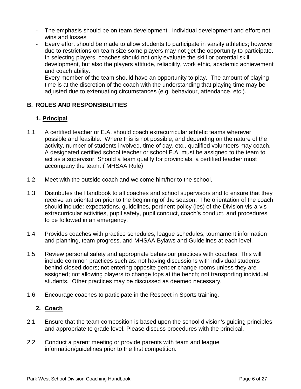- The emphasis should be on team development , individual development and effort; not wins and losses
- Every effort should be made to allow students to participate in varsity athletics; however due to restrictions on team size some players may not get the opportunity to participate. In selecting players, coaches should not only evaluate the skill or potential skill development, but also the players attitude, reliability, work ethic, academic achievement and coach ability.
- Every member of the team should have an opportunity to play. The amount of playing time is at the discretion of the coach with the understanding that playing time may be adjusted due to extenuating circumstances (e.g. behaviour, attendance, etc.).

### **B. ROLES AND RESPONSIBILITIES**

## **1. Principal**

- 1.1 A certified teacher or E.A. should coach extracurricular athletic teams wherever possible and feasible. Where this is not possible, and depending on the nature of the activity, number of students involved, time of day, etc., qualified volunteers may coach. A designated certified school teacher or school E.A. must be assigned to the team to act as a supervisor. Should a team qualify for provincials, a certified teacher must accompany the team. ( MHSAA Rule)
- 1.2 Meet with the outside coach and welcome him/her to the school.
- 1.3 Distributes the Handbook to all coaches and school supervisors and to ensure that they receive an orientation prior to the beginning of the season. The orientation of the coach should include: expectations, guidelines, pertinent policy (ies) of the Division vis-a-vis extracurricular activities, pupil safety, pupil conduct, coach's conduct, and procedures to be followed in an emergency.
- 1.4 Provides coaches with practice schedules, league schedules, tournament information and planning, team progress, and MHSAA Bylaws and Guidelines at each level.
- 1.5 Review personal safety and appropriate behaviour practices with coaches. This will include common practices such as: not having discussions with individual students behind closed doors; not entering opposite gender change rooms unless they are assigned; not allowing players to change tops at the bench; not transporting individual students. Other practices may be discussed as deemed necessary.
- 1.6 Encourage coaches to participate in the Respect in Sports training.

#### **2. Coach**

- 2.1 Ensure that the team composition is based upon the school division's guiding principles and appropriate to grade level. Please discuss procedures with the principal.
- 2.2 Conduct a parent meeting or provide parents with team and league information/guidelines prior to the first competition.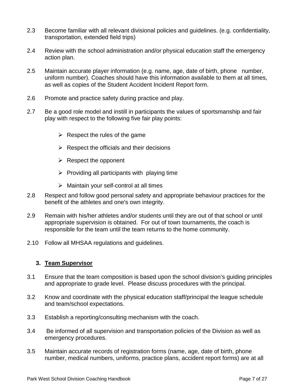- 2.3 Become familiar with all relevant divisional policies and guidelines. (e.g. confidentiality, transportation, extended field trips)
- 2.4 Review with the school administration and/or physical education staff the emergency action plan.
- 2.5 Maintain accurate player information (e.g. name, age, date of birth, phone number, uniform number). Coaches should have this information available to them at all times, as well as copies of the Student Accident Incident Report form.
- 2.6 Promote and practice safety during practice and play.
- 2.7 Be a good role model and instill in participants the values of sportsmanship and fair play with respect to the following five fair play points:
	- $\triangleright$  Respect the rules of the game
	- $\triangleright$  Respect the officials and their decisions
	- $\triangleright$  Respect the opponent
	- $\triangleright$  Providing all participants with playing time
	- $\triangleright$  Maintain your self-control at all times
- 2.8 Respect and follow good personal safety and appropriate behaviour practices for the benefit of the athletes and one's own integrity.
- 2.9 Remain with his/her athletes and/or students until they are out of that school or until appropriate supervision is obtained. For out of town tournaments, the coach is responsible for the team until the team returns to the home community.
- 2.10 Follow all MHSAA regulations and guidelines.

#### **3. Team Supervisor**

- 3.1 Ensure that the team composition is based upon the school division's guiding principles and appropriate to grade level. Please discuss procedures with the principal.
- 3.2 Know and coordinate with the physical education staff/principal the league schedule and team/school expectations.
- 3.3 Establish a reporting/consulting mechanism with the coach.
- 3.4 Be informed of all supervision and transportation policies of the Division as well as emergency procedures.
- 3.5 Maintain accurate records of registration forms (name, age, date of birth, phone number, medical numbers, uniforms, practice plans, accident report forms) are at all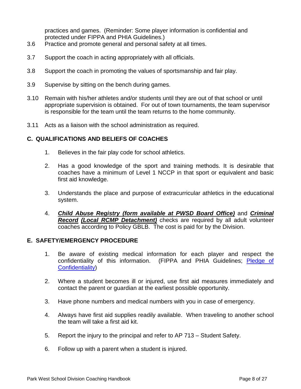practices and games. (Reminder: Some player information is confidential and protected under FIPPA and PHIA Guidelines.)

- 3.6 Practice and promote general and personal safety at all times.
- 3.7 Support the coach in acting appropriately with all officials.
- 3.8 Support the coach in promoting the values of sportsmanship and fair play.
- 3.9 Supervise by sitting on the bench during games.
- 3.10 Remain with his/her athletes and/or students until they are out of that school or until appropriate supervision is obtained. For out of town tournaments, the team supervisor is responsible for the team until the team returns to the home community.
- 3.11 Acts as a liaison with the school administration as required.

#### **C. QUALIFICATIONS AND BELIEFS OF COACHES**

- 1. Believes in the fair play code for school athletics.
- 2. Has a good knowledge of the sport and training methods. It is desirable that coaches have a minimum of Level 1 NCCP in that sport or equivalent and basic first aid knowledge.
- 3. Understands the place and purpose of extracurricular athletics in the educational system.
- 4. *Child Abuse Registry (form available at PWSD Board Office)* and *Criminal Record (Local RCMP Detachment)* checks are required by all adult volunteer coaches according to Policy GBLB. The cost is paid for by the Division.

#### **E. SAFETY/EMERGENCY PROCEDURE**

- 1. Be aware of existing medical information for each player and respect the confidentiality of this information. (FIPPA and PHIA Guidelines; [Pledge of](http://printableforms.valhalla.pembinatrails.ca/files/PLEDGEOFCONFIDENTIALITY.pdf)  [Confidentiality\)](http://printableforms.valhalla.pembinatrails.ca/files/PLEDGEOFCONFIDENTIALITY.pdf)
- 2. Where a student becomes ill or injured, use first aid measures immediately and contact the parent or guardian at the earliest possible opportunity.
- 3. Have phone numbers and medical numbers with you in case of emergency.
- 4. Always have first aid supplies readily available. When traveling to another school the team will take a first aid kit.
- 5. Report the injury to the principal and refer to AP 713 Student Safety.
- 6. Follow up with a parent when a student is injured.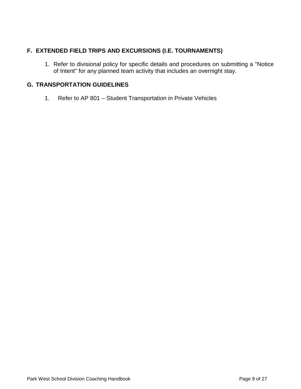# **F. EXTENDED FIELD TRIPS AND EXCURSIONS (I.E. TOURNAMENTS)**

1. Refer to divisional policy for specific details and procedures on submitting a "Notice of Intent" for any planned team activity that includes an overnight stay.

# **G. TRANSPORTATION GUIDELINES**

1. Refer to AP 801 – Student Transportation in Private Vehicles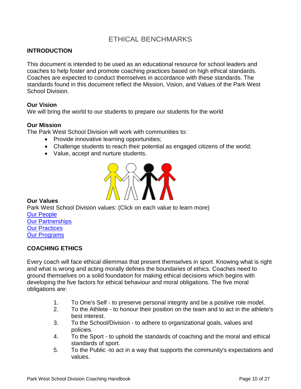# ETHICAL BENCHMARKS

## **INTRODUCTION**

This document is intended to be used as an educational resource for school leaders and coaches to help foster and promote coaching practices based on high ethical standards. Coaches are expected to conduct themselves in accordance with these standards. The standards found in this document reflect the Mission, Vision, and Values of the Park West School Division.

#### **Our Vision**

We will bring the world to our students to prepare our students for the world

#### **Our Mission**

The Park West School Division will work with communities to:

- Provide innovative learning opportunities;
- Challenge students to reach their potential as engaged citizens of the world;
- Value, accept and nurture students.



#### **Our Values**

Park West School Division values: (Click on each value to learn more) [Our People](http://www.pwsd.ca/About/vision.html#dialogpeople) [Our Partnerships](http://www.pwsd.ca/About/vision.html#dialogpartnerships) [Our Practices](http://www.pwsd.ca/About/vision.html#dialogpractices) **[Our Programs](http://www.pwsd.ca/About/vision.html#dialogprograms)** 

## **COACHING ETHICS**

Every coach will face ethical dilemmas that present themselves in sport. Knowing what is right and what is wrong and acting morally defines the boundaries of ethics. Coaches need to ground themselves on a solid foundation for making ethical decisions which begins with developing the five factors for ethical behaviour and moral obligations. The five moral obligations are:

- 1. To One's Self to preserve personal integrity and be a positive role model.
- 2. To the Athlete to honour their position on the team and to act in the athlete's best interest.
- 3. To the School/Division to adhere to organizational goals, values and policies.
- 4. To the Sport to uphold the standards of coaching and the moral and ethical standards of sport.
- 5. To the Public -to act in a way that supports the community's expectations and values.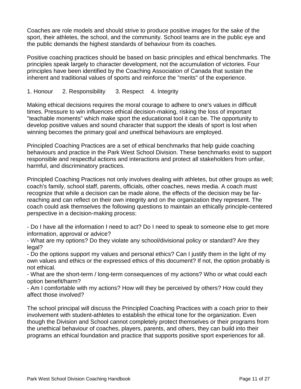Coaches are role models and should strive to produce positive images for the sake of the sport, their athletes, the school, and the community. School teams are in the public eye and the public demands the highest standards of behaviour from its coaches.

Positive coaching practices should be based on basic principles and ethical benchmarks. The principles speak largely to character development, not the accumulation of victories. Four principles have been identified by the Coaching Association of Canada that sustain the inherent and traditional values of sports and reinforce the "merits" of the experience.

### 1. Honour 2. Responsibility 3. Respect 4. Integrity

Making ethical decisions requires the moral courage to adhere to one's values in difficult times. Pressure to win influences ethical decision-making, risking the loss of important "teachable moments" which make sport the educational tool it can be. The opportunity to develop positive values and sound character that support the ideals of sport is lost when winning becomes the primary goal and unethical behaviours are employed.

Principled Coaching Practices are a set of ethical benchmarks that help guide coaching behaviours and practice in the Park West School Division. These benchmarks exist to support responsible and respectful actions and interactions and protect all stakeholders from unfair, harmful, and discriminatory practices.

Principled Coaching Practices not only involves dealing with athletes, but other groups as well; coach's family, school staff, parents, officials, other coaches, news media. A coach must recognize that while a decision can be made alone, the effects of the decision may be farreaching and can reflect on their own integrity and on the organization they represent. The coach could ask themselves the following questions to maintain an ethically principle-centered perspective in a decision-making process:

- Do I have all the information I need to act? Do I need to speak to someone else to get more information, approval or advice?

- What are my options? Do they violate any school/divisional policy or standard? Are they legal?

- Do the options support my values and personal ethics? Can I justify them in the light of my own values and ethics or the expressed ethics of this document? If not, the option probably is not ethical.

- What are the short-term / long-term consequences of my actions? Who or what could each option benefit/harm?

- Am I comfortable with my actions? How will they be perceived by others? How could they affect those involved?

The school principal will discuss the Principled Coaching Practices with a coach prior to their involvement with student-athletes to establish the ethical tone for the organization. Even though the Division and School cannot completely protect themselves or their programs from the unethical behaviour of coaches, players, parents, and others, they can build into their programs an ethical foundation and practice that supports positive sport experiences for all.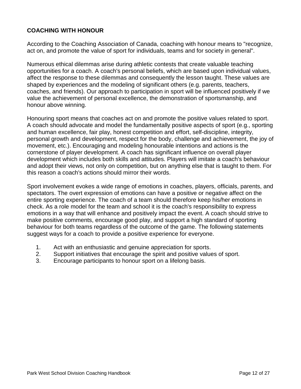# **COACHING WITH HONOUR**

According to the Coaching Association of Canada, coaching with honour means to "recognize, act on, and promote the value of sport for individuals, teams and for society in general".

Numerous ethical dilemmas arise during athletic contests that create valuable teaching opportunities for a coach. A coach's personal beliefs, which are based upon individual values, affect the response to these dilemmas and consequently the lesson taught. These values are shaped by experiences and the modeling of significant others (e.g. parents, teachers, coaches, and friends). Our approach to participation in sport will be influenced positively if we value the achievement of personal excellence, the demonstration of sportsmanship, and honour above winning.

Honouring sport means that coaches act on and promote the positive values related to sport. A coach should advocate and model the fundamentally positive aspects of sport (e.g., sporting and human excellence, fair play, honest competition and effort, self-discipline, integrity, personal growth and development, respect for the body, challenge and achievement, the joy of movement, etc.). Encouraging and modeling honourable intentions and actions is the cornerstone of player development. A coach has significant influence on overall player development which includes both skills and attitudes. Players will imitate a coach's behaviour and adopt their views, not only on competition, but on anything else that is taught to them. For this reason a coach's actions should mirror their words.

Sport involvement evokes a wide range of emotions in coaches, players, officials, parents, and spectators. The overt expression of emotions can have a positive or negative affect on the entire sporting experience. The coach of a team should therefore keep his/her emotions in check. As a role model for the team and school it is the coach's responsibility to express emotions in a way that will enhance and positively impact the event. A coach should strive to make positive comments, encourage good play, and support a high standard of sporting behaviour for both teams regardless of the outcome of the game. The following statements suggest ways for a coach to provide a positive experience for everyone.

- 1. Act with an enthusiastic and genuine appreciation for sports.
- 2. Support initiatives that encourage the spirit and positive values of sport.
- 3. Encourage participants to honour sport on a lifelong basis.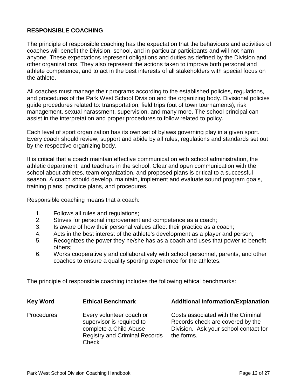# **RESPONSIBLE COACHING**

The principle of responsible coaching has the expectation that the behaviours and activities of coaches will benefit the Division, school, and in particular participants and will not harm anyone. These expectations represent obligations and duties as defined by the Division and other organizations. They also represent the actions taken to improve both personal and athlete competence, and to act in the best interests of all stakeholders with special focus on the athlete.

All coaches must manage their programs according to the established policies, regulations, and procedures of the Park West School Division and the organizing body. Divisional policies guide procedures related to: transportation, field trips (out of town tournaments), risk management, sexual harassment, supervision, and many more. The school principal can assist in the interpretation and proper procedures to follow related to policy.

Each level of sport organization has its own set of bylaws governing play in a given sport. Every coach should review, support and abide by all rules, regulations and standards set out by the respective organizing body.

It is critical that a coach maintain effective communication with school administration, the athletic department, and teachers in the school. Clear and open communication with the school about athletes, team organization, and proposed plans is critical to a successful season. A coach should develop, maintain, implement and evaluate sound program goals, training plans, practice plans, and procedures.

Responsible coaching means that a coach:

- 1. Follows all rules and regulations;
- 2. Strives for personal improvement and competence as a coach;
- 3. Is aware of how their personal values affect their practice as a coach;
- 4. Acts in the best interest of the athlete's development as a player and person;
- 5. Recognizes the power they he/she has as a coach and uses that power to benefit others;
- 6. Works cooperatively and collaboratively with school personnel, parents, and other coaches to ensure a quality sporting experience for the athletes.

The principle of responsible coaching includes the following ethical benchmarks:

| <b>Key Word</b>   | <b>Ethical Benchmark</b>                                                                                                                | <b>Additional Information/Explanation</b>                                                                                     |
|-------------------|-----------------------------------------------------------------------------------------------------------------------------------------|-------------------------------------------------------------------------------------------------------------------------------|
| <b>Procedures</b> | Every volunteer coach or<br>supervisor is required to<br>complete a Child Abuse<br><b>Registry and Criminal Records</b><br><b>Check</b> | Costs associated with the Criminal<br>Records check are covered by the<br>Division. Ask your school contact for<br>the forms. |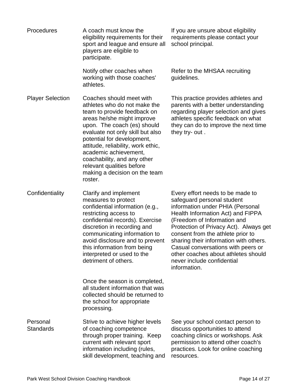| <b>Procedures</b>            | A coach must know the<br>eligibility requirements for their<br>sport and league and ensure all<br>players are eligible to<br>participate.                                                                                                                                                                                                                                                     | If you are unsure about eligibility<br>requirements please contact your<br>school principal.                                                                                                                                                                                                                                                                                                                               |
|------------------------------|-----------------------------------------------------------------------------------------------------------------------------------------------------------------------------------------------------------------------------------------------------------------------------------------------------------------------------------------------------------------------------------------------|----------------------------------------------------------------------------------------------------------------------------------------------------------------------------------------------------------------------------------------------------------------------------------------------------------------------------------------------------------------------------------------------------------------------------|
|                              | Notify other coaches when<br>working with those coaches'<br>athletes.                                                                                                                                                                                                                                                                                                                         | Refer to the MHSAA recruiting<br>guidelines.                                                                                                                                                                                                                                                                                                                                                                               |
| <b>Player Selection</b>      | Coaches should meet with<br>athletes who do not make the<br>team to provide feedback on<br>areas he/she might improve<br>upon. The coach (es) should<br>evaluate not only skill but also<br>potential for development,<br>attitude, reliability, work ethic,<br>academic achievement,<br>coachability, and any other<br>relevant qualities before<br>making a decision on the team<br>roster. | This practice provides athletes and<br>parents with a better understanding<br>regarding player selection and gives<br>athletes specific feedback on what<br>they can do to improve the next time<br>they try- out.                                                                                                                                                                                                         |
| Confidentiality              | Clarify and implement<br>measures to protect<br>confidential information (e.g.,<br>restricting access to<br>confidential records). Exercise<br>discretion in recording and<br>communicating information to<br>avoid disclosure and to prevent<br>this information from being<br>interpreted or used to the<br>detriment of others.                                                            | Every effort needs to be made to<br>safeguard personal student<br>information under PHIA (Personal<br>Health Information Act) and FIPPA<br>(Freedom of Information and<br>Protection of Privacy Act). Always get<br>consent from the athlete prior to<br>sharing their information with others.<br>Casual conversations with peers or<br>other coaches about athletes should<br>never include confidential<br>information. |
|                              | Once the season is completed,<br>all student information that was<br>collected should be returned to<br>the school for appropriate<br>processing.                                                                                                                                                                                                                                             |                                                                                                                                                                                                                                                                                                                                                                                                                            |
| Personal<br><b>Standards</b> | Strive to achieve higher levels<br>of coaching competence<br>through proper training. Keep<br>current with relevant sport<br>information including (rules,<br>skill development, teaching and                                                                                                                                                                                                 | See your school contact person to<br>discuss opportunities to attend<br>coaching clinics or workshops. Ask<br>permission to attend other coach's<br>practices. Look for online coaching<br>resources.                                                                                                                                                                                                                      |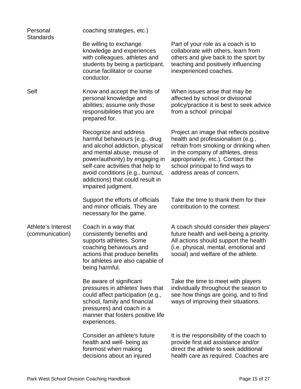| Personal<br><b>Standards</b>          | coaching strategies, etc.)                                                                                                                                                                                                                                                                      |                                                                                                                                                                                                                                                                  |
|---------------------------------------|-------------------------------------------------------------------------------------------------------------------------------------------------------------------------------------------------------------------------------------------------------------------------------------------------|------------------------------------------------------------------------------------------------------------------------------------------------------------------------------------------------------------------------------------------------------------------|
|                                       | Be willing to exchange<br>knowledge and experiences<br>with colleagues, athletes and<br>students by being a participant,<br>course facilitator or course<br>conductor.                                                                                                                          | Part of your role as a coach is to<br>collaborate with others, learn from<br>others and give back to the sport by<br>teaching and positively influencing<br>inexperienced coaches.                                                                               |
| Self                                  | Know and accept the limits of<br>personal knowledge and<br>abilities; assume only those<br>responsibilities that you are<br>prepared for.                                                                                                                                                       | When issues arise that may be<br>affected by school or divisional<br>policy/practice it is best to seek advice<br>from a school principal                                                                                                                        |
|                                       | Recognize and address<br>harmful behaviours (e.g., drug<br>and alcohol addiction, physical<br>and mental abuse, misuse of<br>power/authority) by engaging in<br>self-care activities that help to<br>avoid conditions (e.g., burnout,<br>addictions) that could result in<br>impaired judgment. | Project an image that reflects positive<br>health and professionalism (e.g.,<br>refrain from smoking or drinking when<br>in the company of athletes, dress<br>appropriately, etc.). Contact the<br>school principal to find ways to<br>address areas of concern. |
|                                       | Support the efforts of officials<br>and minor officials. They are<br>necessary for the game.                                                                                                                                                                                                    | Take the time to thank them for their<br>contribution to the contest.                                                                                                                                                                                            |
| Athlete's Interest<br>(communication) | Coach in a way that<br>consistently benefits and<br>supports athletes. Some<br>coaching behaviours and<br>actions that produce benefits<br>for athletes are also capable of<br>being harmful.                                                                                                   | A coach should consider their players'<br>future health and well-being a priority.<br>All actions should support the health<br>(i.e. physical, mental, emotional and<br>social) and welfare of the athlete.                                                      |
|                                       | Be aware of significant<br>pressures in athletes' lives that<br>could affect participation (e.g.,<br>school, family and financial<br>pressures) and coach in a<br>manner that fosters positive life<br>experiences.                                                                             | Take the time to meet with players<br>individually throughout the season to<br>see how things are going, and to find<br>ways of improving their situations.                                                                                                      |
|                                       | Consider an athlete's future<br>health and well- being as<br>foremost when making<br>decisions about an injured                                                                                                                                                                                 | It is the responsibility of the coach to<br>provide first aid assistance and/or<br>direct the athlete to seek additional<br>health care as required. Coaches are                                                                                                 |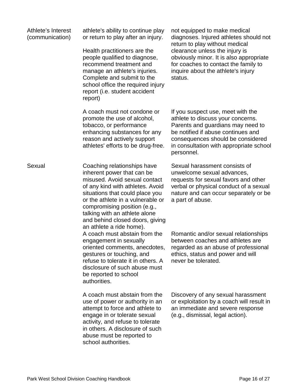| Athlete's Interest<br>(communication) | athlete's ability to continue play<br>or return to play after an injury.<br>Health practitioners are the<br>people qualified to diagnose,<br>recommend treatment and<br>manage an athlete's injuries.<br>Complete and submit to the<br>school office the required injury<br>report (i.e. student accident<br>report)                   | not equipped to make medical<br>diagnoses. Injured athletes should not<br>return to play without medical<br>clearance unless the injury is<br>obviously minor. It is also appropriate<br>for coaches to contact the family to<br>inquire about the athlete's injury<br>status. |
|---------------------------------------|----------------------------------------------------------------------------------------------------------------------------------------------------------------------------------------------------------------------------------------------------------------------------------------------------------------------------------------|--------------------------------------------------------------------------------------------------------------------------------------------------------------------------------------------------------------------------------------------------------------------------------|
|                                       | A coach must not condone or<br>promote the use of alcohol,<br>tobacco, or performance<br>enhancing substances for any<br>reason and actively support<br>athletes' efforts to be drug-free.                                                                                                                                             | If you suspect use, meet with the<br>athlete to discuss your concerns.<br>Parents and guardians may need to<br>be notified if abuse continues and<br>consequences should be considered<br>in consultation with appropriate school<br>personnel.                                |
| Sexual                                | Coaching relationships have<br>inherent power that can be<br>misused. Avoid sexual contact<br>of any kind with athletes. Avoid<br>situations that could place you<br>or the athlete in a vulnerable or<br>compromising position (e.g.,<br>talking with an athlete alone<br>and behind closed doors, giving<br>an athlete a ride home). | Sexual harassment consists of<br>unwelcome sexual advances,<br>requests for sexual favors and other<br>verbal or physical conduct of a sexual<br>nature and can occur separately or be<br>a part of abuse.                                                                     |
|                                       | A coach must abstain from the<br>engagement in sexually<br>oriented comments, anecdotes,<br>gestures or touching, and<br>refuse to tolerate it in others. A<br>disclosure of such abuse must<br>be reported to school<br>authorities.                                                                                                  | Romantic and/or sexual relationships<br>between coaches and athletes are<br>regarded as an abuse of professional<br>ethics, status and power and will<br>never be tolerated.                                                                                                   |
|                                       | A coach must abstain from the<br>use of power or authority in an<br>attempt to force and athlete to<br>engage in or tolerate sexual<br>activity, and refuse to tolerate<br>in others. A disclosure of such<br>abuse must be reported to<br>school authorities.                                                                         | Discovery of any sexual harassment<br>or exploitation by a coach will result in<br>an immediate and severe response<br>(e.g., dismissal, legal action).                                                                                                                        |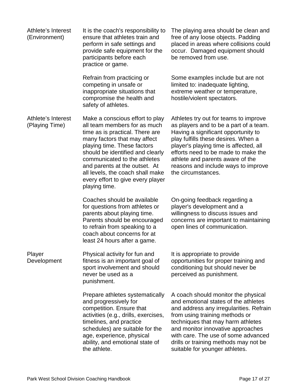| Athlete's Interest<br>(Environment)  | It is the coach's responsibility to<br>ensure that athletes train and<br>perform in safe settings and<br>provide safe equipment for the<br>participants before each<br>practice or game.                                                                                                                                                                         | The playing area should be clean and<br>free of any loose objects. Padding<br>placed in areas where collisions could<br>occur. Damaged equipment should<br>be removed from use.                                                                                                                                                                      |
|--------------------------------------|------------------------------------------------------------------------------------------------------------------------------------------------------------------------------------------------------------------------------------------------------------------------------------------------------------------------------------------------------------------|------------------------------------------------------------------------------------------------------------------------------------------------------------------------------------------------------------------------------------------------------------------------------------------------------------------------------------------------------|
|                                      | Refrain from practicing or<br>competing in unsafe or<br>inappropriate situations that<br>compromise the health and<br>safety of athletes.                                                                                                                                                                                                                        | Some examples include but are not<br>limited to: inadequate lighting,<br>extreme weather or temperature,<br>hostile/violent spectators.                                                                                                                                                                                                              |
| Athlete's Interest<br>(Playing Time) | Make a conscious effort to play<br>all team members for as much<br>time as is practical. There are<br>many factors that may affect<br>playing time. These factors<br>should be identified and clearly<br>communicated to the athletes<br>and parents at the outset. At<br>all levels, the coach shall make<br>every effort to give every player<br>playing time. | Athletes try out for teams to improve<br>as players and to be a part of a team.<br>Having a significant opportunity to<br>play fulfills these desires. When a<br>player's playing time is affected, all<br>efforts need to be made to make the<br>athlete and parents aware of the<br>reasons and include ways to improve<br>the circumstances.      |
|                                      | Coaches should be available<br>for questions from athletes or<br>parents about playing time.<br>Parents should be encouraged<br>to refrain from speaking to a<br>coach about concerns for at<br>least 24 hours after a game.                                                                                                                                     | On-going feedback regarding a<br>player's development and a<br>willingness to discuss issues and<br>concerns are important to maintaining<br>open lines of communication.                                                                                                                                                                            |
| Player<br>Development                | Physical activity for fun and<br>fitness is an important goal of<br>sport involvement and should<br>never be used as a<br>punishment.                                                                                                                                                                                                                            | It is appropriate to provide<br>opportunities for proper training and<br>conditioning but should never be<br>perceived as punishment.                                                                                                                                                                                                                |
|                                      | Prepare athletes systematically<br>and progressively for<br>competition. Ensure that<br>activities (e.g., drills, exercises,<br>timelines, and practice<br>schedules) are suitable for the<br>age, experience, physical<br>ability, and emotional state of<br>the athlete.                                                                                       | A coach should monitor the physical<br>and emotional states of the athletes<br>and address any irregularities. Refrain<br>from using training methods or<br>techniques that may harm athletes<br>and monitor innovative approaches<br>with care. The use of some advanced<br>drills or training methods may not be<br>suitable for younger athletes. |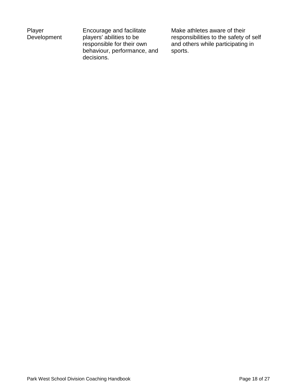| Player      |
|-------------|
| Development |

Encourage and facilitate players' abilities to be responsible for their own behaviour, performance, and decisions.

Make athletes aware of their responsibilities to the safety of self and others while participating in sports.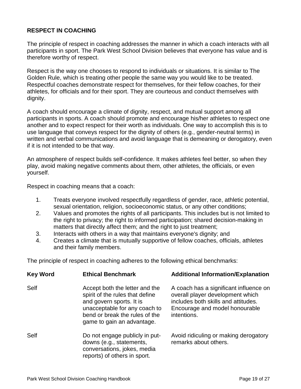# **RESPECT IN COACHING**

The principle of respect in coaching addresses the manner in which a coach interacts with all participants in sport. The Park West School Division believes that everyone has value and is therefore worthy of respect.

Respect is the way one chooses to respond to individuals or situations. It is similar to The Golden Rule, which is treating other people the same way you would like to be treated. Respectful coaches demonstrate respect for themselves, for their fellow coaches, for their athletes, for officials and for their sport. They are courteous and conduct themselves with dignity.

A coach should encourage a climate of dignity, respect, and mutual support among all participants in sports. A coach should promote and encourage his/her athletes to respect one another and to expect respect for their worth as individuals. One way to accomplish this is to use language that conveys respect for the dignity of others (e.g., gender-neutral terms) in written and verbal communications and avoid language that is demeaning or derogatory, even if it is not intended to be that way.

An atmosphere of respect builds self-confidence. It makes athletes feel better, so when they play, avoid making negative comments about them, other athletes, the officials, or even yourself.

Respect in coaching means that a coach:

- 1. Treats everyone involved respectfully regardless of gender, race, athletic potential, sexual orientation, religion, socioeconomic status, or any other conditions;
- 2. Values and promotes the rights of all participants. This includes but is not limited to the right to privacy; the right to informed participation; shared decision-making in matters that directly affect them; and the right to just treatment;
- 3. Interacts with others in a way that maintains everyone's dignity; and
- 4. Creates a climate that is mutually supportive of fellow coaches, officials, athletes and their family members.

The principle of respect in coaching adheres to the following ethical benchmarks:

| <b>Key Word</b> | <b>Ethical Benchmark</b>                                                                                                                                                                       | <b>Additional Information/Explanation</b>                                                                                                                          |
|-----------------|------------------------------------------------------------------------------------------------------------------------------------------------------------------------------------------------|--------------------------------------------------------------------------------------------------------------------------------------------------------------------|
| Self            | Accept both the letter and the<br>spirit of the rules that define<br>and govern sports. It is<br>unacceptable for any coach to<br>bend or break the rules of the<br>game to gain an advantage. | A coach has a significant influence on<br>overall player development which<br>includes both skills and attitudes.<br>Encourage and model honourable<br>intentions. |
| Self            | Do not engage publicly in put-<br>downs (e.g., statements,<br>conversations, jokes, media<br>reports) of others in sport.                                                                      | Avoid ridiculing or making derogatory<br>remarks about others.                                                                                                     |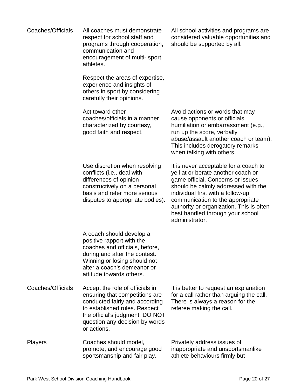| Coaches/Officials | All coaches must demonstrate<br>respect for school staff and<br>programs through cooperation,<br>communication and<br>encouragement of multi-sport<br>athletes.                                                          | All school activities and programs are<br>considered valuable opportunities and<br>should be supported by all.                                                                                                                                                                                                                     |
|-------------------|--------------------------------------------------------------------------------------------------------------------------------------------------------------------------------------------------------------------------|------------------------------------------------------------------------------------------------------------------------------------------------------------------------------------------------------------------------------------------------------------------------------------------------------------------------------------|
|                   | Respect the areas of expertise,<br>experience and insights of<br>others in sport by considering<br>carefully their opinions.                                                                                             |                                                                                                                                                                                                                                                                                                                                    |
|                   | Act toward other<br>coaches/officials in a manner<br>characterized by courtesy,<br>good faith and respect.                                                                                                               | Avoid actions or words that may<br>cause opponents or officials<br>humiliation or embarrassment (e.g.,<br>run up the score, verbally<br>abuse/assault another coach or team).<br>This includes derogatory remarks<br>when talking with others.                                                                                     |
|                   | Use discretion when resolving<br>conflicts (i.e., deal with<br>differences of opinion<br>constructively on a personal<br>basis and refer more serious<br>disputes to appropriate bodies).                                | It is never acceptable for a coach to<br>yell at or berate another coach or<br>game official. Concerns or issues<br>should be calmly addressed with the<br>individual first with a follow-up<br>communication to the appropriate<br>authority or organization. This is often<br>best handled through your school<br>administrator. |
|                   | A coach should develop a<br>positive rapport with the<br>coaches and officials, before,<br>during and after the contest.<br>Winning or losing should not<br>alter a coach's demeanor or<br>attitude towards others.      |                                                                                                                                                                                                                                                                                                                                    |
| Coaches/Officials | Accept the role of officials in<br>ensuring that competitions are<br>conducted fairly and according<br>to established rules. Respect<br>the official's judgment. DO NOT<br>question any decision by words<br>or actions. | It is better to request an explanation<br>for a call rather than arguing the call.<br>There is always a reason for the<br>referee making the call.                                                                                                                                                                                 |
| <b>Players</b>    | Coaches should model,<br>promote, and encourage good<br>sportsmanship and fair play.                                                                                                                                     | Privately address issues of<br>inappropriate and unsportsmanlike<br>athlete behaviours firmly but                                                                                                                                                                                                                                  |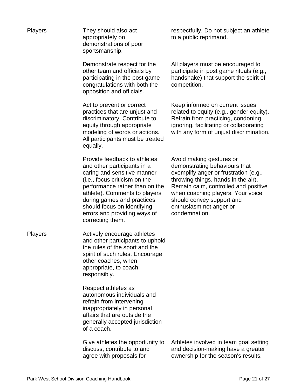| <b>Players</b> | They should also act<br>appropriately on<br>demonstrations of poor<br>sportsmanship.                                                                                                                                                                                                                            | respectfully. Do not subject an athlete<br>to a public reprimand.                                                                                                                                                                                                                               |
|----------------|-----------------------------------------------------------------------------------------------------------------------------------------------------------------------------------------------------------------------------------------------------------------------------------------------------------------|-------------------------------------------------------------------------------------------------------------------------------------------------------------------------------------------------------------------------------------------------------------------------------------------------|
|                | Demonstrate respect for the<br>other team and officials by<br>participating in the post game<br>congratulations with both the<br>opposition and officials.                                                                                                                                                      | All players must be encouraged to<br>participate in post game rituals (e.g.,<br>handshake) that support the spirit of<br>competition.                                                                                                                                                           |
|                | Act to prevent or correct<br>practices that are unjust and<br>discriminatory. Contribute to<br>equity through appropriate<br>modeling of words or actions.<br>All participants must be treated<br>equally.                                                                                                      | Keep informed on current issues<br>related to equity (e.g., gender equity).<br>Refrain from practicing, condoning,<br>ignoring, facilitating or collaborating<br>with any form of unjust discrimination.                                                                                        |
|                | Provide feedback to athletes<br>and other participants in a<br>caring and sensitive manner<br>(i.e., focus criticism on the<br>performance rather than on the<br>athlete). Comments to players<br>during games and practices<br>should focus on identifying<br>errors and providing ways of<br>correcting them. | Avoid making gestures or<br>demonstrating behaviours that<br>exemplify anger or frustration (e.g.,<br>throwing things, hands in the air).<br>Remain calm, controlled and positive<br>when coaching players. Your voice<br>should convey support and<br>enthusiasm not anger or<br>condemnation. |
| <b>Players</b> | Actively encourage athletes<br>and other participants to uphold<br>the rules of the sport and the<br>spirit of such rules. Encourage<br>other coaches, when<br>appropriate, to coach<br>responsibly.                                                                                                            |                                                                                                                                                                                                                                                                                                 |
|                | Respect athletes as<br>autonomous individuals and<br>refrain from intervening<br>inappropriately in personal<br>affairs that are outside the<br>generally accepted jurisdiction<br>of a coach.                                                                                                                  |                                                                                                                                                                                                                                                                                                 |
|                | Give athletes the opportunity to<br>discuss, contribute to and<br>agree with proposals for                                                                                                                                                                                                                      | Athletes involved in team goal setting<br>and decision-making have a greater<br>ownership for the season's results.                                                                                                                                                                             |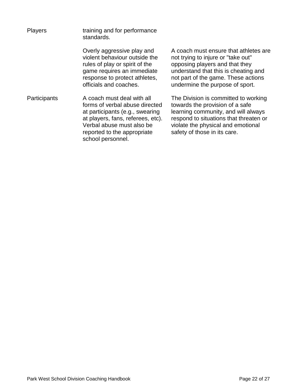| <b>Players</b> | training and for performance<br>standards.                                                                                                                                                                            |  |
|----------------|-----------------------------------------------------------------------------------------------------------------------------------------------------------------------------------------------------------------------|--|
|                | Overly aggressive play and<br>violent behaviour outside the<br>rules of play or spirit of the<br>game requires an immediate<br>response to protect athletes,<br>officials and coaches.                                |  |
| Participants   | A coach must deal with all<br>forms of verbal abuse directed<br>at participants (e.g., swearing<br>at players, fans, referees, etc).<br>Verbal abuse must also be<br>reported to the appropriate<br>school personnel. |  |

A coach must ensure that athletes are not trying to injure or "take out" opposing players and that they understand that this is cheating and not part of the game. These actions undermine the purpose of sport.

The Division is committed to working towards the provision of a safe learning community, and will always respond to situations that threaten or violate the physical and emotional safety of those in its care.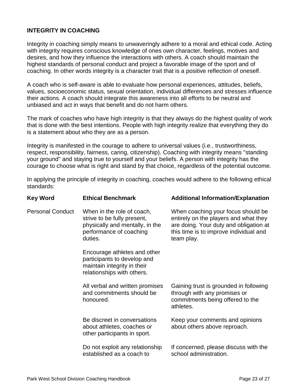## **INTEGRITY IN COACHING**

Integrity in coaching simply means to unwaveringly adhere to a moral and ethical code. Acting with integrity requires conscious knowledge of ones own character, feelings, motives and desires, and how they influence the interactions with others. A coach should maintain the highest standards of personal conduct and project a favorable image of the sport and of coaching. In other words integrity is a character trait that is a positive reflection of oneself.

A coach who is self-aware is able to evaluate how personal experiences, attitudes, beliefs, values, socioeconomic status, sexual orientation, individual differences and stresses influence their actions. A coach should integrate this awareness into all efforts to be neutral and unbiased and act in ways that benefit and do not harm others.

The mark of coaches who have high integrity is that they always do the highest quality of work that is done with the best intentions. People with high integrity realize that everything they do is a statement about who they are as a person.

Integrity is manifested in the courage to adhere to universal values (i.e., trustworthiness, respect, responsibility, fairness, caring, citizenship). Coaching with integrity means "standing your ground" and staying true to yourself and your beliefs. A person with integrity has the courage to choose what is right and stand by that choice, regardless of the potential outcome.

In applying the principle of integrity in coaching, coaches would adhere to the following ethical standards:

| <b>Key Word</b>         | <b>Ethical Benchmark</b>                                                                                                           | <b>Additional Information/Explanation</b>                                                                                                                                     |
|-------------------------|------------------------------------------------------------------------------------------------------------------------------------|-------------------------------------------------------------------------------------------------------------------------------------------------------------------------------|
| <b>Personal Conduct</b> | When in the role of coach,<br>strive to be fully present,<br>physically and mentally, in the<br>performance of coaching<br>duties. | When coaching your focus should be<br>entirely on the players and what they<br>are doing. Your duty and obligation at<br>this time is to improve individual and<br>team play. |
|                         | Encourage athletes and other<br>participants to develop and<br>maintain integrity in their<br>relationships with others.           |                                                                                                                                                                               |
|                         | All verbal and written promises<br>and commitments should be<br>honoured.                                                          | Gaining trust is grounded in following<br>through with any promises or<br>commitments being offered to the<br>athletes.                                                       |
|                         | Be discreet in conversations<br>about athletes, coaches or<br>other participants in sport.                                         | Keep your comments and opinions<br>about others above reproach.                                                                                                               |
|                         | Do not exploit any relationship<br>established as a coach to                                                                       | If concerned, please discuss with the<br>school administration.                                                                                                               |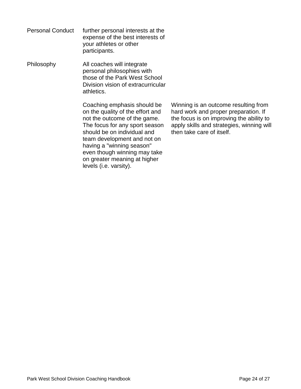Personal Conduct further personal interests at the expense of the best interests of your athletes or other participants.

Philosophy All coaches will integrate personal philosophies with those of the Park West School Division vision of extracurricular athletics.

> Coaching emphasis should be on the quality of the effort and not the outcome of the game. The focus for any sport season should be on individual and team development and not on having a "winning season" even though winning may take on greater meaning at higher levels (i.e. varsity).

Winning is an outcome resulting from hard work and proper preparation. If the focus is on improving the ability to apply skills and strategies, winning will then take care of itself.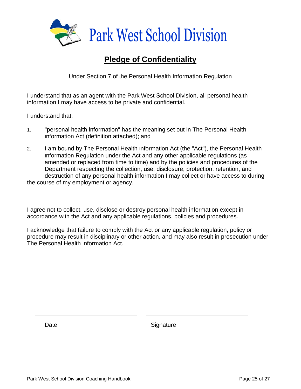

# **Pledge of Confidentiality**

Under Section 7 of the Personal Health Information Regulation

I understand that as an agent with the Park West School Division, all personal health information I may have access to be private and confidential.

I understand that:

- 1. "personal health information" has the meaning set out in The Personal Health Information Act (definition attached); and
- 2. I am bound by The Personal Health Information Act (the "Act"), the Personal Health Information Regulation under the Act and any other applicable regulations (as amended or replaced from time to time) and by the policies and procedures of the Department respecting the collection, use, disclosure, protection, retention, and destruction of any personal health information I may collect or have access to during the course of my employment or agency.

I agree not to collect, use, disclose or destroy personal health information except in accordance with the Act and any applicable regulations, policies and procedures.

I acknowledge that failure to comply with the Act or any applicable regulation, policy or procedure may result in disciplinary or other action, and may also result in prosecution under The Personal Health Information Act.

Date Signature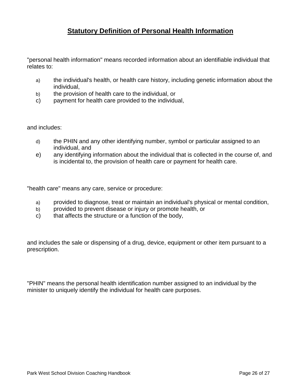# **Statutory Definition of Personal Health Information**

"personal health information" means recorded information about an identifiable individual that relates to:

- a) the individual's health, or health care history, including genetic information about the individual,
- b) the provision of health care to the individual, or
- c) payment for health care provided to the individual,

and includes:

- d) the PHIN and any other identifying number, symbol or particular assigned to an individual, and
- e) any identifying information about the individual that is collected in the course of, and is incidental to, the provision of health care or payment for health care.

"health care" means any care, service or procedure:

- a) provided to diagnose, treat or maintain an individual's physical or mental condition,
- b) provided to prevent disease or injury or promote health, or
- c) that affects the structure or a function of the body,

and includes the sale or dispensing of a drug, device, equipment or other item pursuant to a prescription.

"PHIN" means the personal health identification number assigned to an individual by the minister to uniquely identify the individual for health care purposes.